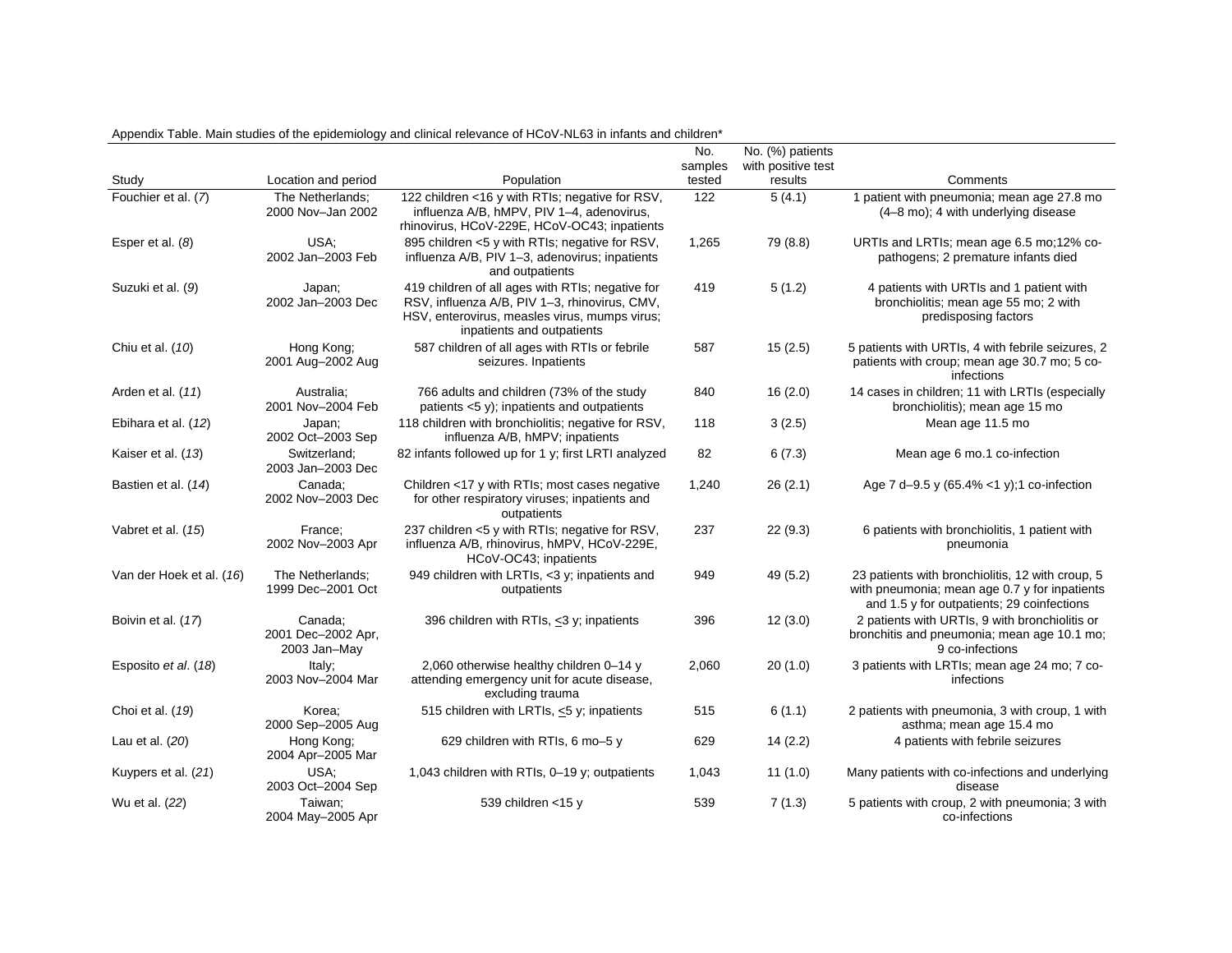|                          |                                               |                                                                                                                                                                                  | No.<br>samples | No. (%) patients<br>with positive test |                                                                                                                                                 |
|--------------------------|-----------------------------------------------|----------------------------------------------------------------------------------------------------------------------------------------------------------------------------------|----------------|----------------------------------------|-------------------------------------------------------------------------------------------------------------------------------------------------|
| Study                    | Location and period                           | Population                                                                                                                                                                       | tested         | results                                | Comments                                                                                                                                        |
| Fouchier et al. (7)      | The Netherlands:<br>2000 Nov-Jan 2002         | 122 children <16 y with RTIs; negative for RSV,<br>influenza A/B, hMPV, PIV 1-4, adenovirus,<br>rhinovirus, HCoV-229E, HCoV-OC43; inpatients                                     | 122            | 5(4.1)                                 | 1 patient with pneumonia; mean age 27.8 mo<br>(4-8 mo); 4 with underlying disease                                                               |
| Esper et al. (8)         | USA:<br>2002 Jan-2003 Feb                     | 895 children <5 y with RTIs; negative for RSV,<br>influenza A/B, PIV 1-3, adenovirus; inpatients<br>and outpatients                                                              | 1,265          | 79 (8.8)                               | URTIs and LRTIs; mean age 6.5 mo; 12% co-<br>pathogens; 2 premature infants died                                                                |
| Suzuki et al. (9)        | Japan;<br>2002 Jan-2003 Dec                   | 419 children of all ages with RTIs; negative for<br>RSV, influenza A/B, PIV 1-3, rhinovirus, CMV,<br>HSV, enterovirus, measles virus, mumps virus;<br>inpatients and outpatients | 419            | 5(1.2)                                 | 4 patients with URTIs and 1 patient with<br>bronchiolitis; mean age 55 mo; 2 with<br>predisposing factors                                       |
| Chiu et al. (10)         | Hong Kong:<br>2001 Aug-2002 Aug               | 587 children of all ages with RTIs or febrile<br>seizures. Inpatients                                                                                                            | 587            | 15(2.5)                                | 5 patients with URTIs, 4 with febrile seizures, 2<br>patients with croup; mean age 30.7 mo; 5 co-<br>infections                                 |
| Arden et al. (11)        | Australia:<br>2001 Nov-2004 Feb               | 766 adults and children (73% of the study<br>patients <5 y); inpatients and outpatients                                                                                          | 840            | 16(2.0)                                | 14 cases in children; 11 with LRTIs (especially<br>bronchiolitis); mean age 15 mo                                                               |
| Ebihara et al. (12)      | Japan;<br>2002 Oct-2003 Sep                   | 118 children with bronchiolitis; negative for RSV,<br>influenza A/B, hMPV; inpatients                                                                                            | 118            | 3(2.5)                                 | Mean age 11.5 mo                                                                                                                                |
| Kaiser et al. (13)       | Switzerland:<br>2003 Jan-2003 Dec             | 82 infants followed up for 1 y; first LRTI analyzed                                                                                                                              | 82             | 6(7.3)                                 | Mean age 6 mo.1 co-infection                                                                                                                    |
| Bastien et al. (14)      | Canada:<br>2002 Nov-2003 Dec                  | Children <17 y with RTIs; most cases negative<br>for other respiratory viruses; inpatients and<br>outpatients                                                                    | 1,240          | 26(2.1)                                | Age 7 d-9.5 y (65.4% <1 y); 1 co-infection                                                                                                      |
| Vabret et al. (15)       | France:<br>2002 Nov-2003 Apr                  | 237 children <5 y with RTIs; negative for RSV,<br>influenza A/B, rhinovirus, hMPV, HCoV-229E,<br>HCoV-OC43; inpatients                                                           | 237            | 22(9.3)                                | 6 patients with bronchiolitis, 1 patient with<br>pneumonia                                                                                      |
| Van der Hoek et al. (16) | The Netherlands:<br>1999 Dec-2001 Oct         | 949 children with LRTIs, <3 y; inpatients and<br>outpatients                                                                                                                     | 949            | 49 (5.2)                               | 23 patients with bronchiolitis, 12 with croup, 5<br>with pneumonia; mean age 0.7 y for inpatients<br>and 1.5 y for outpatients; 29 coinfections |
| Boivin et al. (17)       | Canada:<br>2001 Dec-2002 Apr,<br>2003 Jan-May | 396 children with RTIs, <3 y; inpatients                                                                                                                                         | 396            | 12(3.0)                                | 2 patients with URTIs, 9 with bronchiolitis or<br>bronchitis and pneumonia; mean age 10.1 mo;<br>9 co-infections                                |
| Esposito et al. (18)     | Italy;<br>2003 Nov-2004 Mar                   | 2,060 otherwise healthy children 0-14 y<br>attending emergency unit for acute disease,<br>excluding trauma                                                                       | 2,060          | 20(1.0)                                | 3 patients with LRTIs; mean age 24 mo; 7 co-<br>infections                                                                                      |
| Choi et al. (19)         | Korea;<br>2000 Sep-2005 Aug                   | 515 children with LRTIs, <5 y; inpatients                                                                                                                                        | 515            | 6(1.1)                                 | 2 patients with pneumonia, 3 with croup, 1 with<br>asthma; mean age 15.4 mo                                                                     |
| Lau et al. (20)          | Hong Kong;<br>2004 Apr-2005 Mar               | 629 children with RTIs, 6 mo-5 y                                                                                                                                                 | 629            | 14(2.2)                                | 4 patients with febrile seizures                                                                                                                |
| Kuypers et al. (21)      | USA:<br>2003 Oct-2004 Sep                     | 1,043 children with RTIs, 0-19 y; outpatients                                                                                                                                    | 1,043          | 11(1.0)                                | Many patients with co-infections and underlying<br>disease                                                                                      |
| Wu et al. (22)           | Taiwan;<br>2004 May-2005 Apr                  | 539 children <15 y                                                                                                                                                               | 539            | 7(1.3)                                 | 5 patients with croup, 2 with pneumonia; 3 with<br>co-infections                                                                                |

Appendix Table. Main studies of the epidemiology and clinical relevance of HCoV-NL63 in infants and children\*